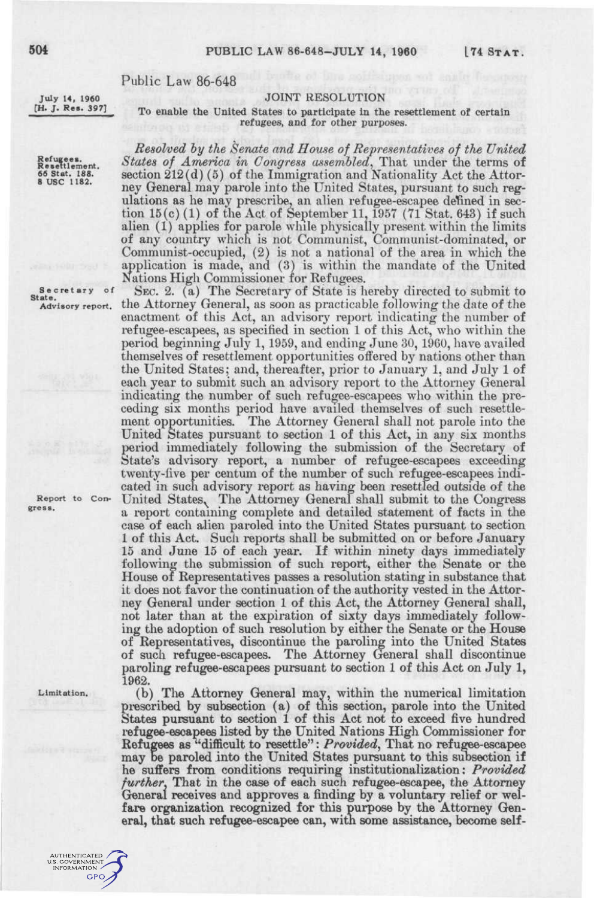## **504** PUBLIC LAW 86-648-JULY **14, 1960 L74 STAT .**

## Public Law 86-648

## JOINT RESOLUTION

**July 14, 1960 [H. J. Res. 397]** 

**Refugees.**<br>Resettlement.<br>66 Stat. 188.<br>8 USC 1182.

## To enable the United States to participate in the resettlement of certain refugees, and for other purposes.

*Resolved hy the Senate and House of Representatives of the United States of America in Congress assembled^* That under the terms of section 212(d) (5) of the Immigration and Nationality Act the Attorney General may parole into the United States, pursuant to such regulations as he may prescribe, an alien refugee-escapee defined in section  $15(c)$  (1) of the Act of September 11, 1957 (71 Stat. 643) if such alien (1) applies for parole while physically present within the limits of any country which is not Communist, Communist-dominated, or Communist-occupied, (2) is not a national of the area in which the application is made, and (3) is within the mandate of the United Nations High Commissioner for Refugees.

SEC. 2. (a) The Secretary of State is hereby directed to submit to the Attorney General, as soon as practicable following the date of the enactment of this Act, an advisory report indicating the number of refugee-escapees, as specified in section 1 of this Act, who within the period beginning July 1, 1959, and ending June 30, 1960, have availed themselves of resettlement opportunities offered by nations other than the United States; and, thereafter, prior to January 1, and July 1 of each year to submit such an advisory report to the Attorney General indicating the number of such refugee-escapees who within the preceding six months period have availed themselves of such resettlement opportunities. The Attorney General shall not parole into the United States pursuant to section 1 of this Act, in any six months period immediately following the submission of the Secretary of State's advisory report, a number of refugee-escapees exceeding twenty-five per centum of the number of such refugee-escapees indicated in such advisory report as having been resettled outside of the United States, The Attorney General shall submit to the Congress a report containing complete and detailed statement of facts in the case of each allien paroled into the United States pursuant to section 1 of this Act. Such reports shall be submitted on or before January 15 and June 15 of each year. If within ninety days immediately following the submission of such report, either the Senate or the House 01 Representatives passes a resolution stating in substance that it does not favor the continuation of the authority vested in the Attorney General under section 1 of this Act, the Attorney General shall, ney General under section 1 of this Act, the Attorney General shari, ing the adoption of such resolution by either the Senate or the House ing the adoption of such resolution by either the Senate or the House of Representatives, discontinue the paroling into the United States of such refugee-escapees. The Attorney General shall discontinue paroling refugee-escapees pursuant to section 1 of this Act on July 1, 1962.

**Limitation.** 

**Secretar y State.**  Advisory report. **of** 

**Report gress.** 

> (b) The Attorney General may, within the numerical limitation prescribed by subsection (a) of this section, parole into the United States pursuant to section 1 of this Act not to exceed five hundred refugee-escapees listed by the United Nations High Commissioner for Refugees as "difficult to resettle": *Provided^* That no refugee-escapee may be paroled into the United States pursuant to this subsection if he suffers from conditions requiring institutionalization: *Provided further*, That in the case of each such refugee-escapee, the Attorney General receives and approves a finding by a voluntary relief or welfare organization recognized for this purpose by the Attorney Gen-

eral, that such refugee-escapee can, with some assistance, become self-

AUTHENTICATED<br>I.S. GOVERNMENT<br>INFORMATION **GPO**